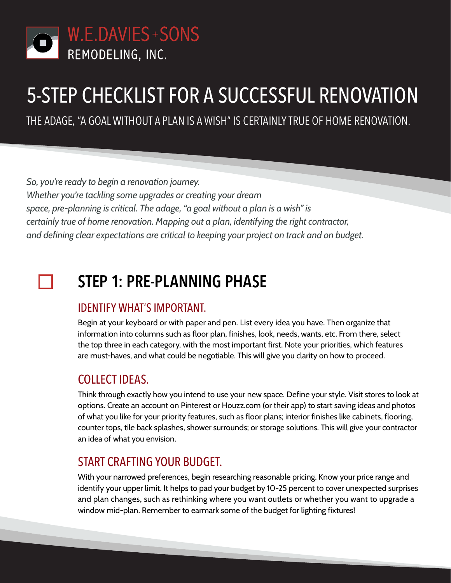

# 5-STEP CHECKLIST FOR A SUCCESSFUL RENOVATION

THE ADAGE, "A GOAL WITHOUT A PLAN IS A WISH" IS CERTAINLY TRUE OF HOME RENOVATION.

*So, you're ready to begin a renovation journey. Whether you're tackling some upgrades or creating your dream space, pre-planning is critical. The adage, "a goal without a plan is a wish" is certainly true of home renovation. Mapping out a plan, identifying the right contractor, and defining clear expectations are critical to keeping your project on track and on budget.*

## **STEP 1: PRE-PLANNING PHASE**

### IDENTIFY WHAT'S IMPORTANT.

Begin at your keyboard or with paper and pen. List every idea you have. Then organize that information into columns such as floor plan, finishes, look, needs, wants, etc. From there, select the top three in each category, with the most important first. Note your priorities, which features are must-haves, and what could be negotiable. This will give you clarity on how to proceed.

### COLLECT IDEAS.

Think through exactly how you intend to use your new space. Define your style. Visit stores to look at options. Create an account on Pinterest or Houzz.com (or their app) to start saving ideas and photos of what you like for your priority features, such as floor plans; interior finishes like cabinets, flooring, counter tops, tile back splashes, shower surrounds; or storage solutions. This will give your contractor an idea of what you envision.

### START CRAFTING YOUR BUDGET.

With your narrowed preferences, begin researching reasonable pricing. Know your price range and identify your upper limit. It helps to pad your budget by 10-25 percent to cover unexpected surprises and plan changes, such as rethinking where you want outlets or whether you want to upgrade a window mid-plan. Remember to earmark some of the budget for lighting fixtures!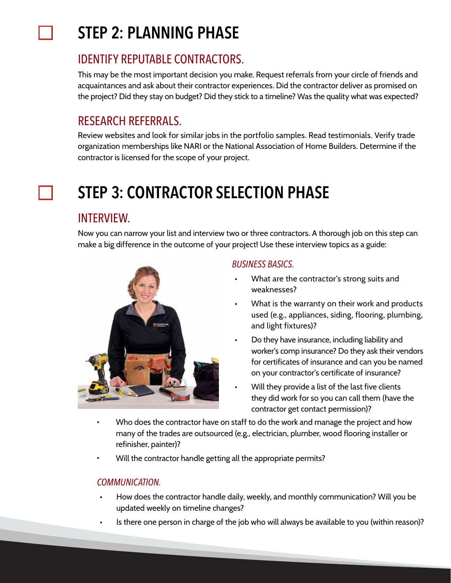## **STEP 2: PLANNING PHASE**

## IDENTIFY REPUTABLE CONTRACTORS.

This may be the most important decision you make. Request referrals from your circle of friends and acquaintances and ask about their contractor experiences. Did the contractor deliver as promised on the project? Did they stay on budget? Did they stick to a timeline? Was the quality what was expected?

## RESEARCH REFERRALS.

Review websites and look for similar jobs in the portfolio samples. Read testimonials. Verify trade organization memberships like NARI or the National Association of Home Builders. Determine if the contractor is licensed for the scope of your project.

## **STEP 3: CONTRACTOR SELECTION PHASE**

### INTERVIEW.

Now you can narrow your list and interview two or three contractors. A thorough job on this step can make a big difference in the outcome of your project! Use these interview topics as a guide:



### *BUSINESS BASICS.*

- What are the contractor's strong suits and weaknesses? •
- What is the warranty on their work and products used (e.g., appliances, siding, flooring, plumbing, and light fixtures)? •
- Do they have insurance, including liability and worker's comp insurance? Do they ask their vendors for certificates of insurance and can you be named on your contractor's certificate of insurance? •
- Will they provide a list of the last five clients they did work for so you can call them (have the contractor get contact permission)? •
- Who does the contractor have on staff to do the work and manage the project and how many of the trades are outsourced (e.g., electrician, plumber, wood flooring installer or refinisher, painter)?
- Will the contractor handle getting all the appropriate permits?

#### *COMMUNICATION.*

- How does the contractor handle daily, weekly, and monthly communication? Will you be updated weekly on timeline changes? •
- Is there one person in charge of the job who will always be available to you (within reason)? •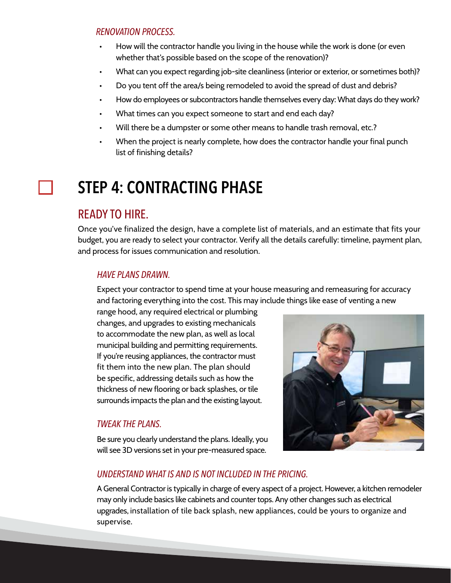#### *RENOVATION PROCESS.*

- How will the contractor handle you living in the house while the work is done (or even whether that's possible based on the scope of the renovation)? •
- What can you expect regarding job-site cleanliness (interior or exterior, or sometimes both)? •
- Do you tent off the area/s being remodeled to avoid the spread of dust and debris? •
- How do employees or subcontractors handle themselves every day: What days do they work? •
- What times can you expect someone to start and end each day? •
- Will there be a dumpster or some other means to handle trash removal, etc.? •
- When the project is nearly complete, how does the contractor handle your final punch list of finishing details? •

## **STEP 4: CONTRACTING PHASE**

### READY TO HIRE.

Once you've finalized the design, have a complete list of materials, and an estimate that fits your budget, you are ready to select your contractor. Verify all the details carefully: timeline, payment plan, and process for issues communication and resolution.

#### *HAVE PLANS DRAWN.*

Expect your contractor to spend time at your house measuring and remeasuring for accuracy and factoring everything into the cost. This may include things like ease of venting a new

range hood, any required electrical or plumbing changes, and upgrades to existing mechanicals to accommodate the new plan, as well as local municipal building and permitting requirements. If you're reusing appliances, the contractor must fit them into the new plan. The plan should be specific, addressing details such as how the thickness of new flooring or back splashes, or tile surrounds impacts the plan and the existing layout.

#### *TWEAK THE PLANS.*

Be sure you clearly understand the plans. Ideally, you will see 3D versions set in your pre-measured space.



#### *UNDERSTAND WHAT IS AND IS NOT INCLUDED IN THE PRICING.*

A General Contractor is typically in charge of every aspect of a project. However, a kitchen remodeler may only include basics like cabinets and counter tops. Any other changes such as electrical upgrades, installation of tile back splash, new appliances, could be yours to organize and supervise.